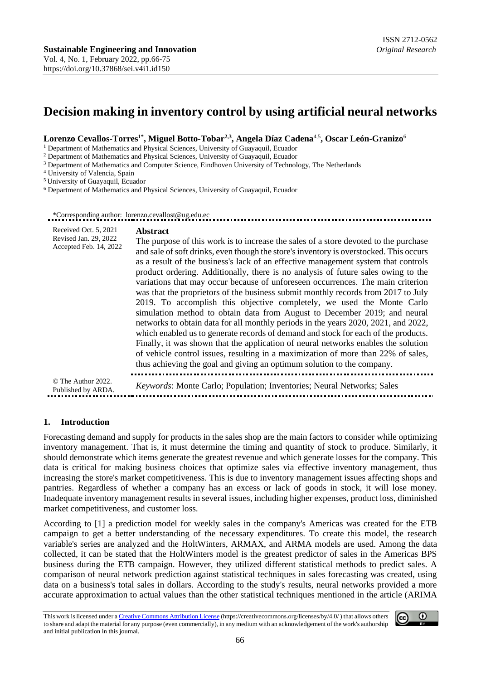# **Decision making in inventory control by using artificial neural networks**

#### **Lorenzo Cevallos-Torres1\*, Miguel Botto-Tobar2,3, Angela Díaz Cadena**4,5**, Oscar León-Granizo**<sup>6</sup>

<sup>1</sup> Department of Mathematics and Physical Sciences, University of Guayaquil, Ecuador

<sup>2</sup> Department of Mathematics and Physical Sciences, University of Guayaquil, Ecuador

<sup>3</sup> Department of Mathematics and Computer Science, Eindhoven University of Technology, The Netherlands

<sup>4</sup> University of Valencia, Spain

<sup>5</sup>University of Guayaquil, Ecuador

<sup>6</sup> Department of Mathematics and Physical Sciences, University of Guayaquil, Ecuador

#### \*Corresponding author: lorenzo.cevallost@ug.edu.ec

| Received Oct. 5, 2021<br>Revised Jan. 29, 2022<br>Accepted Feb. 14, 2022 | <b>Abstract</b><br>The purpose of this work is to increase the sales of a store devoted to the purchase<br>and sale of soft drinks, even though the store's inventory is overstocked. This occurs<br>as a result of the business's lack of an effective management system that controls<br>product ordering. Additionally, there is no analysis of future sales owing to the<br>variations that may occur because of unforeseen occurrences. The main criterion<br>was that the proprietors of the business submit monthly records from 2017 to July<br>2019. To accomplish this objective completely, we used the Monte Carlo<br>simulation method to obtain data from August to December 2019; and neural<br>networks to obtain data for all monthly periods in the years 2020, 2021, and 2022,<br>which enabled us to generate records of demand and stock for each of the products.<br>Finally, it was shown that the application of neural networks enables the solution<br>of vehicle control issues, resulting in a maximization of more than 22% of sales,<br>thus achieving the goal and giving an optimum solution to the company. |
|--------------------------------------------------------------------------|----------------------------------------------------------------------------------------------------------------------------------------------------------------------------------------------------------------------------------------------------------------------------------------------------------------------------------------------------------------------------------------------------------------------------------------------------------------------------------------------------------------------------------------------------------------------------------------------------------------------------------------------------------------------------------------------------------------------------------------------------------------------------------------------------------------------------------------------------------------------------------------------------------------------------------------------------------------------------------------------------------------------------------------------------------------------------------------------------------------------------------------------|
| © The Author 2022.<br>Published by ARDA.                                 | Keywords: Monte Carlo; Population; Inventories; Neural Networks; Sales                                                                                                                                                                                                                                                                                                                                                                                                                                                                                                                                                                                                                                                                                                                                                                                                                                                                                                                                                                                                                                                                       |

#### **1. Introduction**

Forecasting demand and supply for products in the sales shop are the main factors to consider while optimizing inventory management. That is, it must determine the timing and quantity of stock to produce. Similarly, it should demonstrate which items generate the greatest revenue and which generate losses for the company. This data is critical for making business choices that optimize sales via effective inventory management, thus increasing the store's market competitiveness. This is due to inventory management issues affecting shops and pantries. Regardless of whether a company has an excess or lack of goods in stock, it will lose money. Inadequate inventory management results in several issues, including higher expenses, product loss, diminished market competitiveness, and customer loss.

According to [1] a prediction model for weekly sales in the company's Americas was created for the ETB campaign to get a better understanding of the necessary expenditures. To create this model, the research variable's series are analyzed and the HoltWinters, ARMAX, and ARMA models are used. Among the data collected, it can be stated that the HoltWinters model is the greatest predictor of sales in the Americas BPS business during the ETB campaign. However, they utilized different statistical methods to predict sales. A comparison of neural network prediction against statistical techniques in sales forecasting was created, using data on a business's total sales in dollars. According to the study's results, neural networks provided a more accurate approximation to actual values than the other statistical techniques mentioned in the article (ARIMA

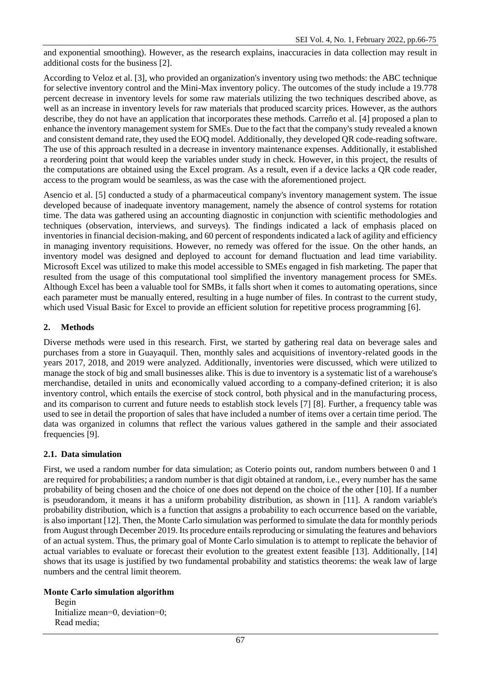and exponential smoothing). However, as the research explains, inaccuracies in data collection may result in additional costs for the business [2].

According to Veloz et al. [3], who provided an organization's inventory using two methods: the ABC technique for selective inventory control and the Mini-Max inventory policy. The outcomes of the study include a 19.778 percent decrease in inventory levels for some raw materials utilizing the two techniques described above, as well as an increase in inventory levels for raw materials that produced scarcity prices. However, as the authors describe, they do not have an application that incorporates these methods. Carreño et al. [4] proposed a plan to enhance the inventory management system for SMEs. Due to the fact that the company's study revealed a known and consistent demand rate, they used the EOQ model. Additionally, they developed QR code-reading software. The use of this approach resulted in a decrease in inventory maintenance expenses. Additionally, it established a reordering point that would keep the variables under study in check. However, in this project, the results of the computations are obtained using the Excel program. As a result, even if a device lacks a QR code reader, access to the program would be seamless, as was the case with the aforementioned project.

Asencio et al. [5] conducted a study of a pharmaceutical company's inventory management system. The issue developed because of inadequate inventory management, namely the absence of control systems for rotation time. The data was gathered using an accounting diagnostic in conjunction with scientific methodologies and techniques (observation, interviews, and surveys). The findings indicated a lack of emphasis placed on inventories in financial decision-making, and 60 percent of respondents indicated a lack of agility and efficiency in managing inventory requisitions. However, no remedy was offered for the issue. On the other hands, an inventory model was designed and deployed to account for demand fluctuation and lead time variability. Microsoft Excel was utilized to make this model accessible to SMEs engaged in fish marketing. The paper that resulted from the usage of this computational tool simplified the inventory management process for SMEs. Although Excel has been a valuable tool for SMBs, it falls short when it comes to automating operations, since each parameter must be manually entered, resulting in a huge number of files. In contrast to the current study, which used Visual Basic for Excel to provide an efficient solution for repetitive process programming [6].

## **2. Methods**

Diverse methods were used in this research. First, we started by gathering real data on beverage sales and purchases from a store in Guayaquil. Then, monthly sales and acquisitions of inventory-related goods in the years 2017, 2018, and 2019 were analyzed. Additionally, inventories were discussed, which were utilized to manage the stock of big and small businesses alike. This is due to inventory is a systematic list of a warehouse's merchandise, detailed in units and economically valued according to a company-defined criterion; it is also inventory control, which entails the exercise of stock control, both physical and in the manufacturing process, and its comparison to current and future needs to establish stock levels [7] [8]. Further, a frequency table was used to see in detail the proportion of sales that have included a number of items over a certain time period. The data was organized in columns that reflect the various values gathered in the sample and their associated frequencies [9].

# **2.1. Data simulation**

First, we used a random number for data simulation; as Coterio points out, random numbers between 0 and 1 are required for probabilities; a random number is that digit obtained at random, i.e., every number has the same probability of being chosen and the choice of one does not depend on the choice of the other [10]. If a number is pseudorandom, it means it has a uniform probability distribution, as shown in [11]. A random variable's probability distribution, which is a function that assigns a probability to each occurrence based on the variable, is also important [12]. Then, the Monte Carlo simulation was performed to simulate the data for monthly periods from August through December 2019. Its procedure entails reproducing or simulating the features and behaviors of an actual system. Thus, the primary goal of Monte Carlo simulation is to attempt to replicate the behavior of actual variables to evaluate or forecast their evolution to the greatest extent feasible [13]. Additionally, [14] shows that its usage is justified by two fundamental probability and statistics theorems: the weak law of large numbers and the central limit theorem.

### **Monte Carlo simulation algorithm**

 Begin Initialize mean=0, deviation=0; Read media;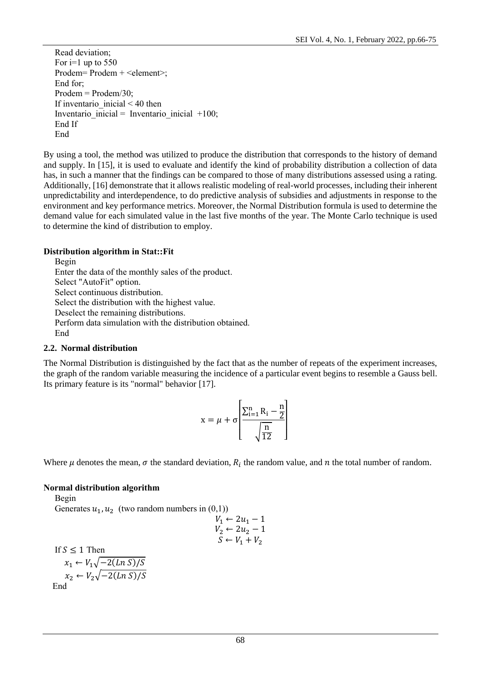Read deviation; For  $i=1$  up to 550 Prodem= Prodem + <element>; End for; Prodem = Prodem/30; If inventario inicial  $< 40$  then Inventario inicial = Inventario inicial  $+100$ ; End If End

By using a tool, the method was utilized to produce the distribution that corresponds to the history of demand and supply. In [15], it is used to evaluate and identify the kind of probability distribution a collection of data has, in such a manner that the findings can be compared to those of many distributions assessed using a rating. Additionally, [16] demonstrate that it allows realistic modeling of real-world processes, including their inherent unpredictability and interdependence, to do predictive analysis of subsidies and adjustments in response to the environment and key performance metrics. Moreover, the Normal Distribution formula is used to determine the demand value for each simulated value in the last five months of the year. The Monte Carlo technique is used to determine the kind of distribution to employ.

# **Distribution algorithm in Stat::Fit**

 Begin Enter the data of the monthly sales of the product. Select "AutoFit" option. Select continuous distribution. Select the distribution with the highest value. Deselect the remaining distributions. Perform data simulation with the distribution obtained. End

# **2.2. Normal distribution**

The Normal Distribution is distinguished by the fact that as the number of repeats of the experiment increases, the graph of the random variable measuring the incidence of a particular event begins to resemble a Gauss bell. Its primary feature is its "normal" behavior [17].

$$
x = \mu + \sigma \left[ \frac{\sum_{i=1}^{n} R_i - \frac{n}{2}}{\sqrt{\frac{n}{12}}} \right]
$$

Where  $\mu$  denotes the mean,  $\sigma$  the standard deviation,  $R_i$  the random value, and  $n$  the total number of random.

# **Normal distribution algorithm**

 Begin Generates  $u_1, u_2$  (two random numbers in  $(0,1)$ )

If 
$$
S \le 1
$$
 Then  
\n
$$
x_1 \leftarrow V_1 \leftarrow 2u_1 - 1
$$
\n
$$
V_2 \leftarrow 2u_2 - 1
$$
\n
$$
S \leftarrow V_1 + V_2
$$
\n
$$
x_1 \leftarrow V_1 \sqrt{-2(\ln S)/S}
$$
\n
$$
x_2 \leftarrow V_2 \sqrt{-2(\ln S)/S}
$$
\nEnd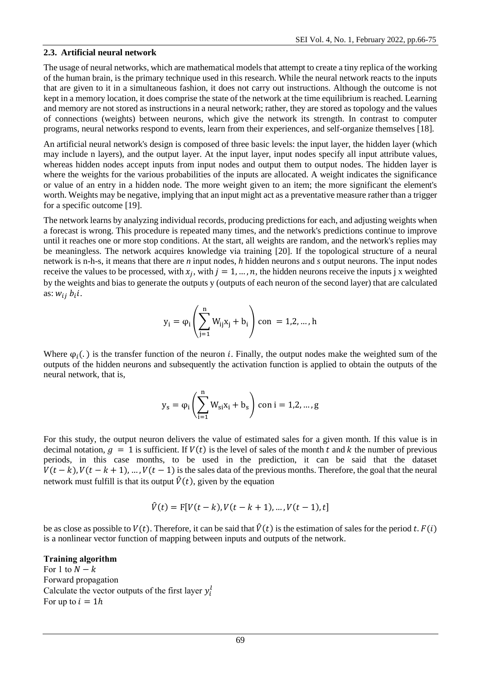### **2.3. Artificial neural network**

The usage of neural networks, which are mathematical models that attempt to create a tiny replica of the working of the human brain, is the primary technique used in this research. While the neural network reacts to the inputs that are given to it in a simultaneous fashion, it does not carry out instructions. Although the outcome is not kept in a memory location, it does comprise the state of the network at the time equilibrium is reached. Learning and memory are not stored as instructions in a neural network; rather, they are stored as topology and the values of connections (weights) between neurons, which give the network its strength. In contrast to computer programs, neural networks respond to events, learn from their experiences, and self-organize themselves [18].

An artificial neural network's design is composed of three basic levels: the input layer, the hidden layer (which may include n layers), and the output layer. At the input layer, input nodes specify all input attribute values, whereas hidden nodes accept inputs from input nodes and output them to output nodes. The hidden layer is where the weights for the various probabilities of the inputs are allocated. A weight indicates the significance or value of an entry in a hidden node. The more weight given to an item; the more significant the element's worth. Weights may be negative, implying that an input might act as a preventative measure rather than a trigger for a specific outcome [19].

The network learns by analyzing individual records, producing predictions for each, and adjusting weights when a forecast is wrong. This procedure is repeated many times, and the network's predictions continue to improve until it reaches one or more stop conditions. At the start, all weights are random, and the network's replies may be meaningless. The network acquires knowledge via training [20]. If the topological structure of a neural network is n-h-s, it means that there are *n* input nodes, *h* hidden neurons and *s* output neurons. The input nodes receive the values to be processed, with  $x_j$ , with  $j = 1, ..., n$ , the hidden neurons receive the inputs j x weighted by the weights and bias to generate the outputs y (outputs of each neuron of the second layer) that are calculated as:  $w_{ij} b_i i$ .

$$
y_i = \phi_i \left( \sum_{j=1}^n W_{ij} x_j + b_i \right) \text{con } = 1, 2, \dots, h
$$

Where  $\varphi_i(.)$  is the transfer function of the neuron *i*. Finally, the output nodes make the weighted sum of the outputs of the hidden neurons and subsequently the activation function is applied to obtain the outputs of the neural network, that is,

$$
y_s=\phi_i\Biggl(\sum_{i=1}^n W_{si}x_i+b_s\Biggr)\,con\,i=1,2,...\,,g
$$

For this study, the output neuron delivers the value of estimated sales for a given month. If this value is in decimal notation,  $q = 1$  is sufficient. If  $V(t)$  is the level of sales of the month t and k the number of previous periods, in this case months, to be used in the prediction, it can be said that the dataset  $V(t - k)$ ,  $V(t - k + 1)$ , …,  $V(t - 1)$  is the sales data of the previous months. Therefore, the goal that the neural network must fulfill is that its output  $\hat{V}(t)$ , given by the equation

$$
\hat{V}(t) = F[V(t-k), V(t-k+1), ..., V(t-1), t]
$$

be as close as possible to  $V(t)$ . Therefore, it can be said that  $\hat{V}(t)$  is the estimation of sales for the period t.  $F(i)$ is a nonlinear vector function of mapping between inputs and outputs of the network.

# **Training algorithm**

For 1 to  $N - k$ Forward propagation Calculate the vector outputs of the first layer  $y_i^l$ For up to  $i = 1h$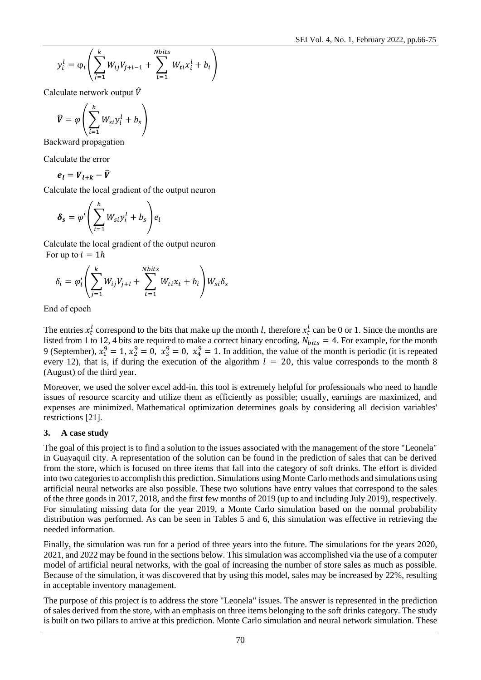$$
y_i^l = \varphi_i \left( \sum_{j=1}^k W_{ij} V_{j+l-1} + \sum_{t=1}^{Nbits} W_{ti} x_i^l + b_i \right)
$$

Calculate network output  $\hat{V}$ 

$$
\widehat{V} = \varphi \left( \sum_{i=1}^{h} W_{si} y_i^l + b_s \right)
$$

Backward propagation

Calculate the error

 $e_l = V_{l+k} - \hat{V}$ 

Calculate the local gradient of the output neuron

$$
\boldsymbol{\delta}_s = \varphi' \left( \sum_{i=1}^h W_{si} y_i^l + b_s \right) e_l
$$

Calculate the local gradient of the output neuron For up to  $i = 1h$ 

$$
\delta_i = \varphi'_i \left( \sum_{j=1}^k W_{ij} V_{j+l} + \sum_{t=1}^{Nbits} W_{ti} x_t + b_i \right) W_{si} \delta_s
$$

End of epoch

The entries  $x_t^l$  correspond to the bits that make up the month *l*, therefore  $x_t^l$  can be 0 or 1. Since the months are listed from 1 to 12, 4 bits are required to make a correct binary encoding,  $N_{bits} = 4$ . For example, for the month 9 (September),  $x_1^9 = 1$ ,  $x_2^9 = 0$ ,  $x_3^9 = 0$ ,  $x_4^9 = 1$ . In addition, the value of the month is periodic (it is repeated every 12), that is, if during the execution of the algorithm  $l = 20$ , this value corresponds to the month 8 (August) of the third year.

Moreover, we used the solver excel add-in, this tool is extremely helpful for professionals who need to handle issues of resource scarcity and utilize them as efficiently as possible; usually, earnings are maximized, and expenses are minimized. Mathematical optimization determines goals by considering all decision variables' restrictions [21].

### **3. A case study**

The goal of this project is to find a solution to the issues associated with the management of the store "Leonela" in Guayaquil city. A representation of the solution can be found in the prediction of sales that can be derived from the store, which is focused on three items that fall into the category of soft drinks. The effort is divided into two categories to accomplish this prediction. Simulations using Monte Carlo methods and simulations using artificial neural networks are also possible. These two solutions have entry values that correspond to the sales of the three goods in 2017, 2018, and the first few months of 2019 (up to and including July 2019), respectively. For simulating missing data for the year 2019, a Monte Carlo simulation based on the normal probability distribution was performed. As can be seen in Tables 5 and 6, this simulation was effective in retrieving the needed information.

Finally, the simulation was run for a period of three years into the future. The simulations for the years 2020, 2021, and 2022 may be found in the sections below. This simulation was accomplished via the use of a computer model of artificial neural networks, with the goal of increasing the number of store sales as much as possible. Because of the simulation, it was discovered that by using this model, sales may be increased by 22%, resulting in acceptable inventory management.

The purpose of this project is to address the store "Leonela" issues. The answer is represented in the prediction of sales derived from the store, with an emphasis on three items belonging to the soft drinks category. The study is built on two pillars to arrive at this prediction. Monte Carlo simulation and neural network simulation. These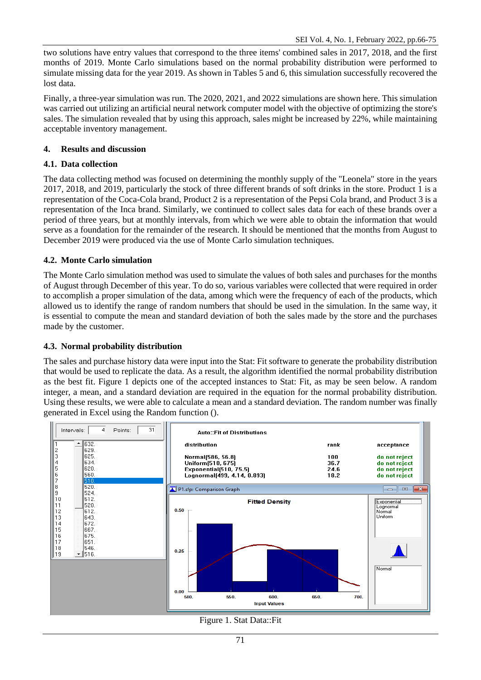two solutions have entry values that correspond to the three items' combined sales in 2017, 2018, and the first months of 2019. Monte Carlo simulations based on the normal probability distribution were performed to simulate missing data for the year 2019. As shown in Tables 5 and 6, this simulation successfully recovered the lost data.

Finally, a three-year simulation was run. The 2020, 2021, and 2022 simulations are shown here. This simulation was carried out utilizing an artificial neural network computer model with the objective of optimizing the store's sales. The simulation revealed that by using this approach, sales might be increased by 22%, while maintaining acceptable inventory management.

# **4. Results and discussion**

## **4.1. Data collection**

The data collecting method was focused on determining the monthly supply of the "Leonela" store in the years 2017, 2018, and 2019, particularly the stock of three different brands of soft drinks in the store. Product 1 is a representation of the Coca-Cola brand, Product 2 is a representation of the Pepsi Cola brand, and Product 3 is a representation of the Inca brand. Similarly, we continued to collect sales data for each of these brands over a period of three years, but at monthly intervals, from which we were able to obtain the information that would serve as a foundation for the remainder of the research. It should be mentioned that the months from August to December 2019 were produced via the use of Monte Carlo simulation techniques.

## **4.2. Monte Carlo simulation**

The Monte Carlo simulation method was used to simulate the values of both sales and purchases for the months of August through December of this year. To do so, various variables were collected that were required in order to accomplish a proper simulation of the data, among which were the frequency of each of the products, which allowed us to identify the range of random numbers that should be used in the simulation. In the same way, it is essential to compute the mean and standard deviation of both the sales made by the store and the purchases made by the customer.

### **4.3. Normal probability distribution**

The sales and purchase history data were input into the Stat: Fit software to generate the probability distribution that would be used to replicate the data. As a result, the algorithm identified the normal probability distribution as the best fit. Figure 1 depicts one of the accepted instances to Stat: Fit, as may be seen below. A random integer, a mean, and a standard deviation are required in the equation for the normal probability distribution. Using these results, we were able to calculate a mean and a standard deviation. The random number was finally generated in Excel using the Random function ().



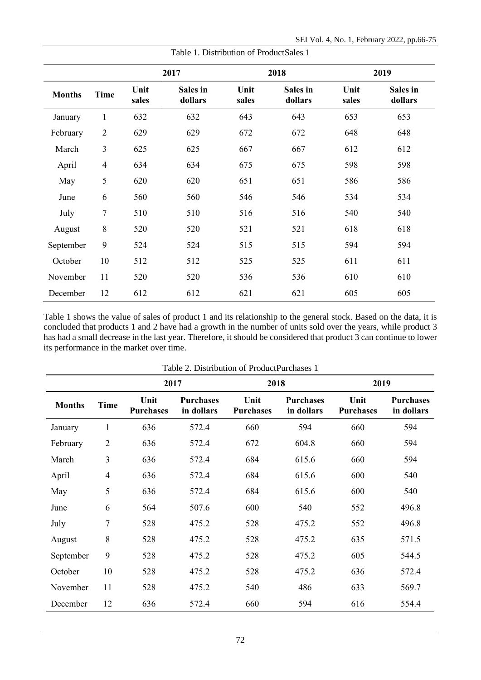|               |                | 2017<br>2018  |                     |               |                     | 2019          |                     |  |
|---------------|----------------|---------------|---------------------|---------------|---------------------|---------------|---------------------|--|
| <b>Months</b> | <b>Time</b>    | Unit<br>sales | Sales in<br>dollars | Unit<br>sales | Sales in<br>dollars | Unit<br>sales | Sales in<br>dollars |  |
| January       | $\mathbf{1}$   | 632           | 632                 | 643           | 643                 | 653           | 653                 |  |
| February      | $\overline{2}$ | 629           | 629                 | 672           | 672                 | 648           | 648                 |  |
| March         | 3              | 625           | 625                 | 667           | 667                 | 612           | 612                 |  |
| April         | $\overline{4}$ | 634           | 634                 | 675           | 675                 | 598           | 598                 |  |
| May           | 5              | 620           | 620                 | 651           | 651                 | 586           | 586                 |  |
| June          | 6              | 560           | 560                 | 546           | 546                 | 534           | 534                 |  |
| July          | $\overline{7}$ | 510           | 510                 | 516           | 516                 | 540           | 540                 |  |
| August        | 8              | 520           | 520                 | 521           | 521                 | 618           | 618                 |  |
| September     | 9              | 524           | 524                 | 515           | 515                 | 594           | 594                 |  |
| October       | 10             | 512           | 512                 | 525           | 525                 | 611           | 611                 |  |
| November      | 11             | 520           | 520                 | 536           | 536                 | 610           | 610                 |  |
| December      | 12             | 612           | 612                 | 621           | 621                 | 605           | 605                 |  |

Table 1 shows the value of sales of product 1 and its relationship to the general stock. Based on the data, it is concluded that products 1 and 2 have had a growth in the number of units sold over the years, while product 3 has had a small decrease in the last year. Therefore, it should be considered that product 3 can continue to lower its performance in the market over time.

| Table 2. Distribution of ProductPurchases 1 |                |                          |                                |                          |                                |                          |                                |
|---------------------------------------------|----------------|--------------------------|--------------------------------|--------------------------|--------------------------------|--------------------------|--------------------------------|
|                                             |                | 2017                     |                                | 2018                     |                                | 2019                     |                                |
| <b>Months</b>                               | <b>Time</b>    | Unit<br><b>Purchases</b> | <b>Purchases</b><br>in dollars | Unit<br><b>Purchases</b> | <b>Purchases</b><br>in dollars | Unit<br><b>Purchases</b> | <b>Purchases</b><br>in dollars |
| January                                     | $\mathbf{1}$   | 636                      | 572.4                          | 660                      | 594                            | 660                      | 594                            |
| February                                    | $\mathbf{2}$   | 636                      | 572.4                          | 672                      | 604.8                          | 660                      | 594                            |
| March                                       | 3              | 636                      | 572.4                          | 684                      | 615.6                          | 660                      | 594                            |
| April                                       | $\overline{4}$ | 636                      | 572.4                          | 684                      | 615.6                          | 600                      | 540                            |
| May                                         | 5              | 636                      | 572.4                          | 684                      | 615.6                          | 600                      | 540                            |
| June                                        | 6              | 564                      | 507.6                          | 600                      | 540                            | 552                      | 496.8                          |
| July                                        | 7              | 528                      | 475.2                          | 528                      | 475.2                          | 552                      | 496.8                          |
| August                                      | 8              | 528                      | 475.2                          | 528                      | 475.2                          | 635                      | 571.5                          |
| September                                   | 9              | 528                      | 475.2                          | 528                      | 475.2                          | 605                      | 544.5                          |
| October                                     | 10             | 528                      | 475.2                          | 528                      | 475.2                          | 636                      | 572.4                          |
| November                                    | 11             | 528                      | 475.2                          | 540                      | 486                            | 633                      | 569.7                          |
| December                                    | 12             | 636                      | 572.4                          | 660                      | 594                            | 616                      | 554.4                          |

Table 1. Distribution of ProductSales 1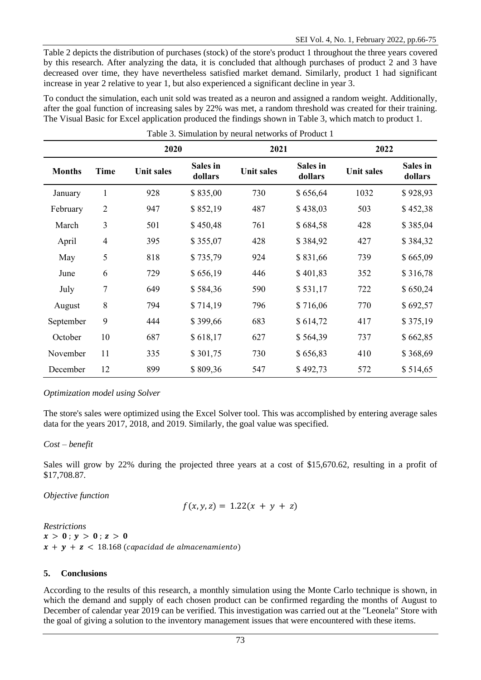Table 2 depicts the distribution of purchases (stock) of the store's product 1 throughout the three years covered by this research. After analyzing the data, it is concluded that although purchases of product 2 and 3 have decreased over time, they have nevertheless satisfied market demand. Similarly, product 1 had significant increase in year 2 relative to year 1, but also experienced a significant decline in year 3.

To conduct the simulation, each unit sold was treated as a neuron and assigned a random weight. Additionally, after the goal function of increasing sales by 22% was met, a random threshold was created for their training. The Visual Basic for Excel application produced the findings shown in Table 3, which match to product 1.

| Table 3. Simulation by neural networks of Product 1 |                          |                   |                     |                   |                     |                   |                     |
|-----------------------------------------------------|--------------------------|-------------------|---------------------|-------------------|---------------------|-------------------|---------------------|
|                                                     |                          | 2020              |                     | 2021              |                     | 2022              |                     |
| <b>Months</b>                                       | Time                     | <b>Unit sales</b> | Sales in<br>dollars | <b>Unit sales</b> | Sales in<br>dollars | <b>Unit sales</b> | Sales in<br>dollars |
| January                                             | $\mathbf{1}$             | 928               | \$835,00            | 730               | \$656,64            | 1032              | \$928,93            |
| February                                            | $\overline{2}$           | 947               | \$852,19            | 487               | \$438,03            | 503               | \$452,38            |
| March                                               | 3                        | 501               | \$450,48            | 761               | \$684,58            | 428               | \$385,04            |
| April                                               | $\overline{\mathcal{A}}$ | 395               | \$355,07            | 428               | \$384,92            | 427               | \$384,32            |
| May                                                 | 5                        | 818               | \$735,79            | 924               | \$831,66            | 739               | \$665,09            |
| June                                                | 6                        | 729               | \$656,19            | 446               | \$401,83            | 352               | \$316,78            |
| July                                                | 7                        | 649               | \$584,36            | 590               | \$531,17            | 722               | \$650,24            |
| August                                              | $8\,$                    | 794               | \$714,19            | 796               | \$716,06            | 770               | \$692,57            |
| September                                           | 9                        | 444               | \$399,66            | 683               | \$614,72            | 417               | \$375,19            |
| October                                             | 10                       | 687               | \$618,17            | 627               | \$564,39            | 737               | \$662,85            |
| November                                            | 11                       | 335               | \$301,75            | 730               | \$656,83            | 410               | \$368,69            |
| December                                            | 12                       | 899               | \$809,36            | 547               | \$492,73            | 572               | \$514,65            |

### *Optimization model using Solver*

The store's sales were optimized using the Excel Solver tool. This was accomplished by entering average sales data for the years 2017, 2018, and 2019. Similarly, the goal value was specified.

*Cost – benefit*

Sales will grow by 22% during the projected three years at a cost of \$15,670.62, resulting in a profit of \$17,708.87.

*Objective function*

$$
f(x, y, z) = 1.22(x + y + z)
$$

*Restrictions*  $x > 0$ ;  $y > 0$ ;  $z > 0$  $x + y + z < 18.168$  (capacidad de almacenamiento)

### **5. Conclusions**

According to the results of this research, a monthly simulation using the Monte Carlo technique is shown, in which the demand and supply of each chosen product can be confirmed regarding the months of August to December of calendar year 2019 can be verified. This investigation was carried out at the "Leonela" Store with the goal of giving a solution to the inventory management issues that were encountered with these items.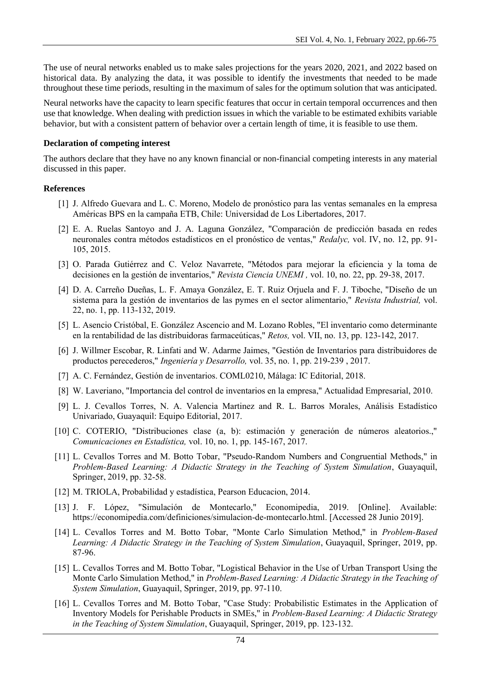The use of neural networks enabled us to make sales projections for the years 2020, 2021, and 2022 based on historical data. By analyzing the data, it was possible to identify the investments that needed to be made throughout these time periods, resulting in the maximum of sales for the optimum solution that was anticipated.

Neural networks have the capacity to learn specific features that occur in certain temporal occurrences and then use that knowledge. When dealing with prediction issues in which the variable to be estimated exhibits variable behavior, but with a consistent pattern of behavior over a certain length of time, it is feasible to use them.

#### **Declaration of competing interest**

The authors declare that they have no any known financial or non-financial competing interests in any material discussed in this paper.

#### **References**

- [1] J. Alfredo Guevara and L. C. Moreno, Modelo de pronóstico para las ventas semanales en la empresa Américas BPS en la campaña ETB, Chile: Universidad de Los Libertadores, 2017.
- [2] E. A. Ruelas Santoyo and J. A. Laguna González, "Comparación de predicción basada en redes neuronales contra métodos estadísticos en el pronóstico de ventas," *Redalyc,* vol. IV, no. 12, pp. 91- 105, 2015.
- [3] O. Parada Gutiérrez and C. Veloz Navarrete, "Métodos para mejorar la eficiencia y la toma de decisiones en la gestión de inventarios," *Revista Ciencia UNEMI ,* vol. 10, no. 22, pp. 29-38, 2017.
- [4] D. A. Carreño Dueñas, L. F. Amaya González, E. T. Ruiz Orjuela and F. J. Tiboche, "Diseño de un sistema para la gestión de inventarios de las pymes en el sector alimentario," *Revista Industrial,* vol. 22, no. 1, pp. 113-132, 2019.
- [5] L. Asencio Cristóbal, E. González Ascencio and M. Lozano Robles, "El inventario como determinante en la rentabilidad de las distribuidoras farmaceúticas," *Retos,* vol. VII, no. 13, pp. 123-142, 2017.
- [6] J. Willmer Escobar, R. Linfati and W. Adarme Jaimes, "Gestión de Inventarios para distribuidores de productos perecederos," *Ingeniería y Desarrollo,* vol. 35, no. 1, pp. 219-239 , 2017.
- [7] A. C. Fernández, Gestión de inventarios. COML0210, Málaga: IC Editorial, 2018.
- [8] W. Laveriano, "Importancia del control de inventarios en la empresa," Actualidad Empresarial, 2010.
- [9] L. J. Cevallos Torres, N. A. Valencia Martinez and R. L. Barros Morales, Análisis Estadístico Univariado, Guayaquil: Equipo Editorial, 2017.
- [10] C. COTERIO, "Distribuciones clase (a, b): estimación y generación de números aleatorios.," *Comunicaciones en Estadística,* vol. 10, no. 1, pp. 145-167, 2017.
- [11] L. Cevallos Torres and M. Botto Tobar, "Pseudo-Random Numbers and Congruential Methods," in *Problem-Based Learning: A Didactic Strategy in the Teaching of System Simulation*, Guayaquil, Springer, 2019, pp. 32-58.
- [12] M. TRIOLA, Probabilidad y estadística, Pearson Educacion, 2014.
- [13] J. F. López, "Simulación de Montecarlo," Economipedia, 2019. [Online]. Available: https://economipedia.com/definiciones/simulacion-de-montecarlo.html. [Accessed 28 Junio 2019].
- [14] L. Cevallos Torres and M. Botto Tobar, "Monte Carlo Simulation Method," in *Problem-Based Learning: A Didactic Strategy in the Teaching of System Simulation*, Guayaquil, Springer, 2019, pp. 87-96.
- [15] L. Cevallos Torres and M. Botto Tobar, "Logistical Behavior in the Use of Urban Transport Using the Monte Carlo Simulation Method," in *Problem-Based Learning: A Didactic Strategy in the Teaching of System Simulation*, Guayaquil, Springer, 2019, pp. 97-110.
- [16] L. Cevallos Torres and M. Botto Tobar, "Case Study: Probabilistic Estimates in the Application of Inventory Models for Perishable Products in SMEs," in *Problem-Based Learning: A Didactic Strategy in the Teaching of System Simulation*, Guayaquil, Springer, 2019, pp. 123-132.